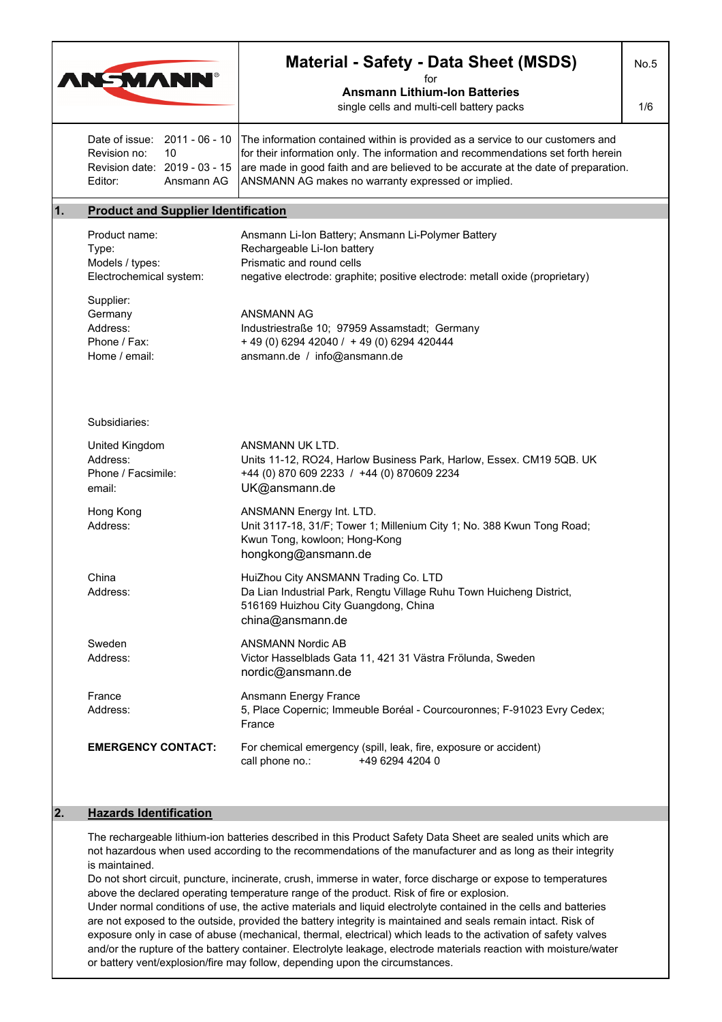| <b>AN-MANN®</b>                                                                                               | <b>Material - Safety - Data Sheet (MSDS)</b><br>for                                                                                                                                                                                                                                                            | No.5 |
|---------------------------------------------------------------------------------------------------------------|----------------------------------------------------------------------------------------------------------------------------------------------------------------------------------------------------------------------------------------------------------------------------------------------------------------|------|
|                                                                                                               | <b>Ansmann Lithium-Ion Batteries</b><br>single cells and multi-cell battery packs                                                                                                                                                                                                                              | 1/6  |
| Date of issue: 2011 - 06 - 10<br>Revision no:<br>10<br>Revision date: 2019 - 03 - 15<br>Ansmann AG<br>Editor: | The information contained within is provided as a service to our customers and<br>for their information only. The information and recommendations set forth herein<br>are made in good faith and are believed to be accurate at the date of preparation.<br>ANSMANN AG makes no warranty expressed or implied. |      |
| <b>Product and Supplier Identification</b>                                                                    |                                                                                                                                                                                                                                                                                                                |      |
| Product name:<br>Type:<br>Models / types:<br>Electrochemical system:                                          | Ansmann Li-Ion Battery; Ansmann Li-Polymer Battery<br>Rechargeable Li-Ion battery<br>Prismatic and round cells<br>negative electrode: graphite; positive electrode: metall oxide (proprietary)                                                                                                                 |      |
| Supplier:<br>Germany<br>Address:<br>Phone / Fax:<br>Home / email:                                             | ANSMANN AG<br>Industriestraße 10; 97959 Assamstadt; Germany<br>+ 49 (0) 6294 42040 / + 49 (0) 6294 420444<br>ansmann.de / info@ansmann.de                                                                                                                                                                      |      |
| Subsidiaries:                                                                                                 |                                                                                                                                                                                                                                                                                                                |      |
| United Kingdom<br>Address:<br>Phone / Facsimile:<br>email:                                                    | ANSMANN UK LTD.<br>Units 11-12, RO24, Harlow Business Park, Harlow, Essex. CM19 5QB. UK<br>+44 (0) 870 609 2233 / +44 (0) 870609 2234<br>UK@ansmann.de                                                                                                                                                         |      |
| Hong Kong<br>Address:                                                                                         | ANSMANN Energy Int. LTD.<br>Unit 3117-18, 31/F; Tower 1; Millenium City 1; No. 388 Kwun Tong Road;<br>Kwun Tong, kowloon; Hong-Kong<br>hongkong@ansmann.de                                                                                                                                                     |      |
| China<br>Address:                                                                                             | HuiZhou City ANSMANN Trading Co. LTD<br>Da Lian Industrial Park, Rengtu Village Ruhu Town Huicheng District,<br>516169 Huizhou City Guangdong, China<br>china@ansmann.de                                                                                                                                       |      |
| Sweden<br>Address:                                                                                            | <b>ANSMANN Nordic AB</b><br>Victor Hasselblads Gata 11, 421 31 Västra Frölunda, Sweden<br>nordic@ansmann.de                                                                                                                                                                                                    |      |
| France<br>Address:                                                                                            | Ansmann Energy France<br>5, Place Copernic; Immeuble Boréal - Courcouronnes; F-91023 Evry Cedex;<br>France                                                                                                                                                                                                     |      |
| <b>EMERGENCY CONTACT:</b>                                                                                     | For chemical emergency (spill, leak, fire, exposure or accident)<br>call phone no.:<br>+49 6294 4204 0                                                                                                                                                                                                         |      |
| <b>Hazards Identification</b>                                                                                 |                                                                                                                                                                                                                                                                                                                |      |
| is maintained.                                                                                                | The rechargeable lithium-ion batteries described in this Product Safety Data Sheet are sealed units which are<br>not hazardous when used according to the recommendations of the manufacturer and as long as their integrity                                                                                   |      |

Do not short circuit, puncture, incinerate, crush, immerse in water, force discharge or expose to temperatures above the declared operating temperature range of the product. Risk of fire or explosion.

Under normal conditions of use, the active materials and liquid electrolyte contained in the cells and batteries are not exposed to the outside, provided the battery integrity is maintained and seals remain intact. Risk of exposure only in case of abuse (mechanical, thermal, electrical) which leads to the activation of safety valves and/or the rupture of the battery container. Electrolyte leakage, electrode materials reaction with moisture/water or battery vent/explosion/fire may follow, depending upon the circumstances.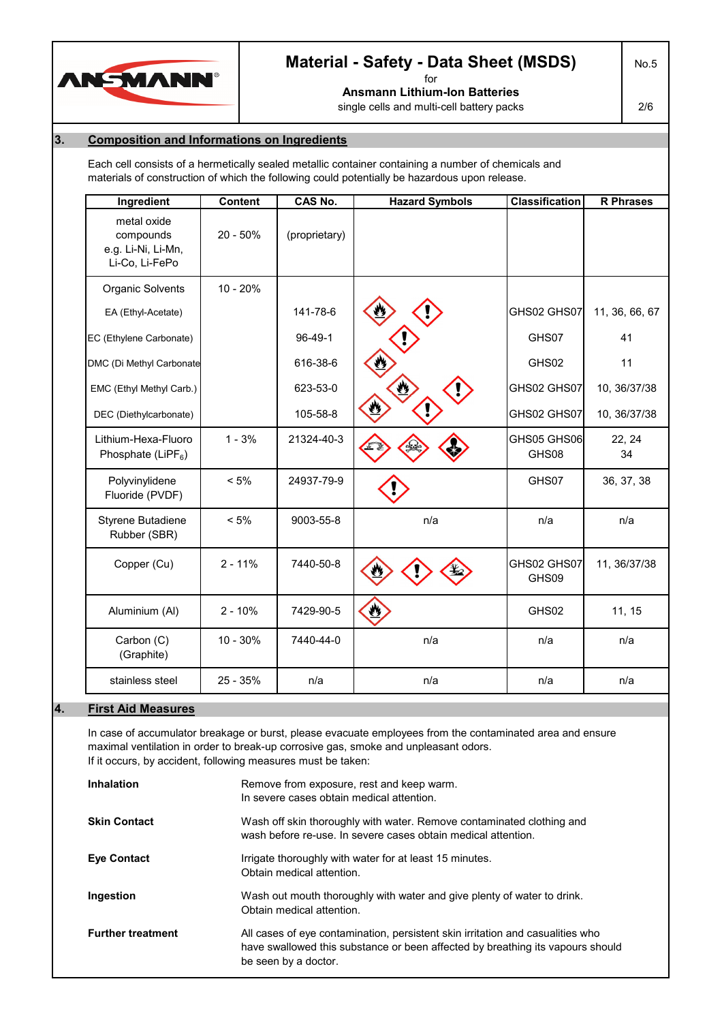

# **Material - Safety - Data Sheet (MSDS)**

for **Ansmann Lithium-Ion Batteries**

single cells and multi-cell battery packs

No.5

2/6

### **3. Composition and Informations on Ingredients**

Each cell consists of a hermetically sealed metallic container containing a number of chemicals and materials of construction of which the following could potentially be hazardous upon release.

| Ingredient                                                       | <b>Content</b> | <b>CAS No.</b> | <b>Hazard Symbols</b> | <b>Classification</b> | <b>R</b> Phrases |
|------------------------------------------------------------------|----------------|----------------|-----------------------|-----------------------|------------------|
| metal oxide<br>compounds<br>e.g. Li-Ni, Li-Mn,<br>Li-Co, Li-FePo | $20 - 50%$     | (proprietary)  |                       |                       |                  |
| <b>Organic Solvents</b>                                          | $10 - 20%$     |                |                       |                       |                  |
| EA (Ethyl-Acetate)                                               |                | 141-78-6       |                       | GHS02 GHS07           | 11, 36, 66, 67   |
| EC (Ethylene Carbonate)                                          |                | 96-49-1        |                       | GHS07                 | 41               |
| DMC (Di Methyl Carbonate                                         |                | 616-38-6       |                       | GHS02                 | 11               |
| EMC (Ethyl Methyl Carb.)                                         |                | 623-53-0       |                       | GHS02 GHS07           | 10, 36/37/38     |
| DEC (Diethylcarbonate)                                           |                | 105-58-8       |                       | GHS02 GHS07           | 10, 36/37/38     |
| Lithium-Hexa-Fluoro<br>Phosphate (LiPF <sub>6</sub> )            | $1 - 3%$       | 21324-40-3     |                       | GHS05 GHS06<br>GHS08  | 22, 24<br>34     |
| Polyvinylidene<br>Fluoride (PVDF)                                | < 5%           | 24937-79-9     |                       | GHS07                 | 36, 37, 38       |
| Styrene Butadiene<br>Rubber (SBR)                                | < 5%           | 9003-55-8      | n/a                   | n/a                   | n/a              |
| Copper (Cu)                                                      | $2 - 11%$      | 7440-50-8      |                       | GHS02 GHS07<br>GHS09  | 11, 36/37/38     |
| Aluminium (AI)                                                   | $2 - 10%$      | 7429-90-5      |                       | GHS02                 | 11, 15           |
| Carbon (C)<br>(Graphite)                                         | 10 - 30%       | 7440-44-0      | n/a                   | n/a                   | n/a              |
| stainless steel                                                  | $25 - 35%$     | n/a            | n/a                   | n/a                   | n/a              |

### **4. First Aid Measures**

In case of accumulator breakage or burst, please evacuate employees from the contaminated area and ensure maximal ventilation in order to break-up corrosive gas, smoke and unpleasant odors. If it occurs, by accident, following measures must be taken:

| Inhalation               | Remove from exposure, rest and keep warm.<br>In severe cases obtain medical attention.                                                                                                   |
|--------------------------|------------------------------------------------------------------------------------------------------------------------------------------------------------------------------------------|
| <b>Skin Contact</b>      | Wash off skin thoroughly with water. Remove contaminated clothing and<br>wash before re-use. In severe cases obtain medical attention.                                                   |
| <b>Eye Contact</b>       | Irrigate thoroughly with water for at least 15 minutes.<br>Obtain medical attention.                                                                                                     |
| Ingestion                | Wash out mouth thoroughly with water and give plenty of water to drink.<br>Obtain medical attention.                                                                                     |
| <b>Further treatment</b> | All cases of eye contamination, persistent skin irritation and casualities who<br>have swallowed this substance or been affected by breathing its vapours should<br>be seen by a doctor. |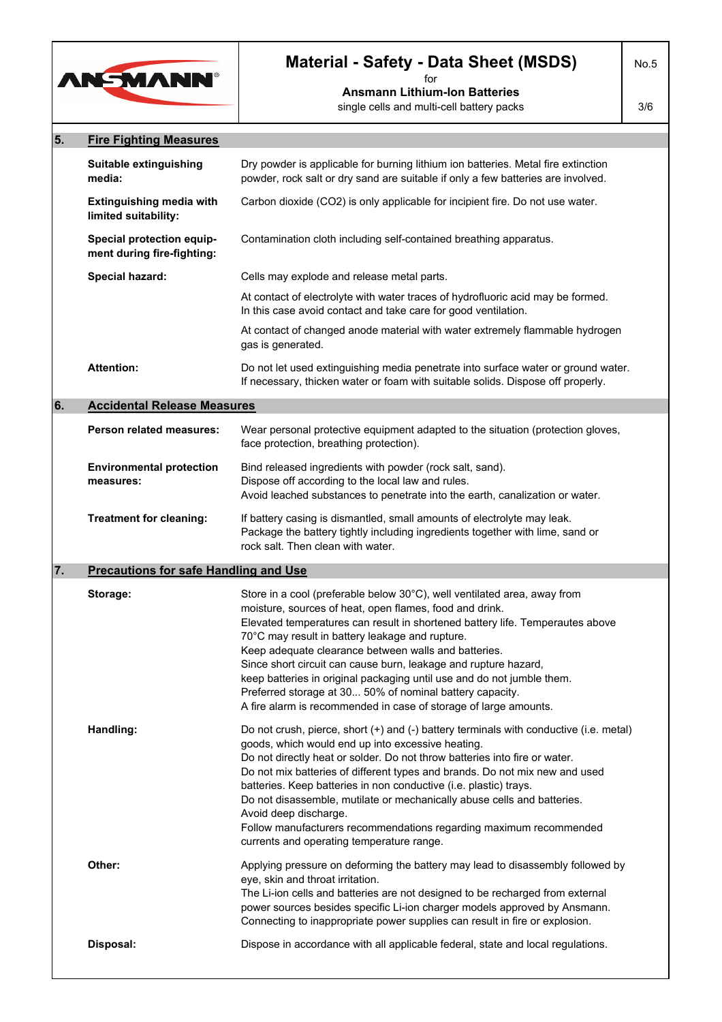

## **Material - Safety - Data Sheet (MSDS)**

for single cells and multi-cell battery packs **Ansmann Lithium-Ion Batteries**

3/6

| 5. | <b>Fire Fighting Measures</b>                           |                                                                                                                                                                                                                                                                                                                                                                                                                                                                                                                                                                                                              |
|----|---------------------------------------------------------|--------------------------------------------------------------------------------------------------------------------------------------------------------------------------------------------------------------------------------------------------------------------------------------------------------------------------------------------------------------------------------------------------------------------------------------------------------------------------------------------------------------------------------------------------------------------------------------------------------------|
|    |                                                         |                                                                                                                                                                                                                                                                                                                                                                                                                                                                                                                                                                                                              |
|    | Suitable extinguishing<br>media:                        | Dry powder is applicable for burning lithium ion batteries. Metal fire extinction<br>powder, rock salt or dry sand are suitable if only a few batteries are involved.                                                                                                                                                                                                                                                                                                                                                                                                                                        |
|    | <b>Extinguishing media with</b><br>limited suitability: | Carbon dioxide (CO2) is only applicable for incipient fire. Do not use water.                                                                                                                                                                                                                                                                                                                                                                                                                                                                                                                                |
|    | Special protection equip-<br>ment during fire-fighting: | Contamination cloth including self-contained breathing apparatus.                                                                                                                                                                                                                                                                                                                                                                                                                                                                                                                                            |
|    | Special hazard:                                         | Cells may explode and release metal parts.                                                                                                                                                                                                                                                                                                                                                                                                                                                                                                                                                                   |
|    |                                                         | At contact of electrolyte with water traces of hydrofluoric acid may be formed.<br>In this case avoid contact and take care for good ventilation.                                                                                                                                                                                                                                                                                                                                                                                                                                                            |
|    |                                                         | At contact of changed anode material with water extremely flammable hydrogen<br>gas is generated.                                                                                                                                                                                                                                                                                                                                                                                                                                                                                                            |
|    | <b>Attention:</b>                                       | Do not let used extinguishing media penetrate into surface water or ground water.<br>If necessary, thicken water or foam with suitable solids. Dispose off properly.                                                                                                                                                                                                                                                                                                                                                                                                                                         |
| 6. | <b>Accidental Release Measures</b>                      |                                                                                                                                                                                                                                                                                                                                                                                                                                                                                                                                                                                                              |
|    | <b>Person related measures:</b>                         | Wear personal protective equipment adapted to the situation (protection gloves,<br>face protection, breathing protection).                                                                                                                                                                                                                                                                                                                                                                                                                                                                                   |
|    | <b>Environmental protection</b><br>measures:            | Bind released ingredients with powder (rock salt, sand).<br>Dispose off according to the local law and rules.<br>Avoid leached substances to penetrate into the earth, canalization or water.                                                                                                                                                                                                                                                                                                                                                                                                                |
|    | <b>Treatment for cleaning:</b>                          | If battery casing is dismantled, small amounts of electrolyte may leak.<br>Package the battery tightly including ingredients together with lime, sand or<br>rock salt. Then clean with water.                                                                                                                                                                                                                                                                                                                                                                                                                |
| 7. | <b>Precautions for safe Handling and Use</b>            |                                                                                                                                                                                                                                                                                                                                                                                                                                                                                                                                                                                                              |
|    | Storage:                                                | Store in a cool (preferable below 30°C), well ventilated area, away from<br>moisture, sources of heat, open flames, food and drink.<br>Elevated temperatures can result in shortened battery life. Temperautes above<br>70°C may result in battery leakage and rupture.<br>Keep adequate clearance between walls and batteries.<br>Since short circuit can cause burn, leakage and rupture hazard,<br>keep batteries in original packaging until use and do not jumble them.<br>Preferred storage at 30 50% of nominal battery capacity.<br>A fire alarm is recommended in case of storage of large amounts. |
|    | Handling:                                               | Do not crush, pierce, short (+) and (-) battery terminals with conductive (i.e. metal)<br>goods, which would end up into excessive heating.<br>Do not directly heat or solder. Do not throw batteries into fire or water.<br>Do not mix batteries of different types and brands. Do not mix new and used<br>batteries. Keep batteries in non conductive (i.e. plastic) trays.<br>Do not disassemble, mutilate or mechanically abuse cells and batteries.<br>Avoid deep discharge.<br>Follow manufacturers recommendations regarding maximum recommended<br>currents and operating temperature range.         |
|    | Other:                                                  | Applying pressure on deforming the battery may lead to disassembly followed by<br>eye, skin and throat irritation.<br>The Li-ion cells and batteries are not designed to be recharged from external<br>power sources besides specific Li-ion charger models approved by Ansmann.<br>Connecting to inappropriate power supplies can result in fire or explosion.                                                                                                                                                                                                                                              |
|    | Disposal:                                               | Dispose in accordance with all applicable federal, state and local regulations.                                                                                                                                                                                                                                                                                                                                                                                                                                                                                                                              |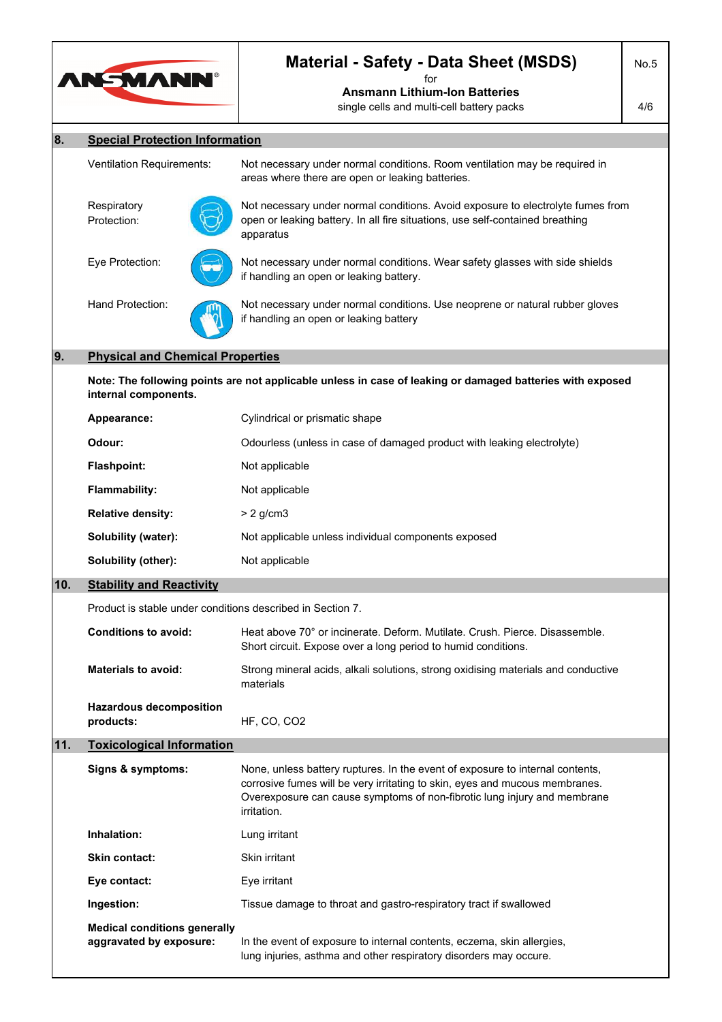| <b>NEMANN®</b>              |                                                                                                                                   | <b>Material - Safety - Data Sheet (MSDS)</b>                                                                                                                                                                                                            | No.5 |
|-----------------------------|-----------------------------------------------------------------------------------------------------------------------------------|---------------------------------------------------------------------------------------------------------------------------------------------------------------------------------------------------------------------------------------------------------|------|
|                             |                                                                                                                                   | <b>Ansmann Lithium-Ion Batteries</b><br>single cells and multi-cell battery packs                                                                                                                                                                       | 4/6  |
| 8.                          | <b>Special Protection Information</b>                                                                                             |                                                                                                                                                                                                                                                         |      |
|                             | Ventilation Requirements:                                                                                                         | Not necessary under normal conditions. Room ventilation may be required in<br>areas where there are open or leaking batteries.                                                                                                                          |      |
|                             | Respiratory<br>Protection:                                                                                                        | Not necessary under normal conditions. Avoid exposure to electrolyte fumes from<br>open or leaking battery. In all fire situations, use self-contained breathing<br>apparatus                                                                           |      |
|                             | Eye Protection:                                                                                                                   | Not necessary under normal conditions. Wear safety glasses with side shields<br>if handling an open or leaking battery.                                                                                                                                 |      |
|                             | Hand Protection:                                                                                                                  | Not necessary under normal conditions. Use neoprene or natural rubber gloves<br>if handling an open or leaking battery                                                                                                                                  |      |
| 9.                          | <b>Physical and Chemical Properties</b>                                                                                           |                                                                                                                                                                                                                                                         |      |
|                             | Note: The following points are not applicable unless in case of leaking or damaged batteries with exposed<br>internal components. |                                                                                                                                                                                                                                                         |      |
|                             | Appearance:                                                                                                                       | Cylindrical or prismatic shape                                                                                                                                                                                                                          |      |
|                             | Odour:                                                                                                                            | Odourless (unless in case of damaged product with leaking electrolyte)                                                                                                                                                                                  |      |
|                             | <b>Flashpoint:</b>                                                                                                                | Not applicable                                                                                                                                                                                                                                          |      |
|                             | <b>Flammability:</b>                                                                                                              | Not applicable                                                                                                                                                                                                                                          |      |
|                             | <b>Relative density:</b>                                                                                                          | $> 2$ g/cm3                                                                                                                                                                                                                                             |      |
|                             | Solubility (water):                                                                                                               | Not applicable unless individual components exposed                                                                                                                                                                                                     |      |
|                             | Solubility (other):                                                                                                               | Not applicable                                                                                                                                                                                                                                          |      |
| ΊV.                         | <b>Stability and Reactivity</b>                                                                                                   |                                                                                                                                                                                                                                                         |      |
|                             | Product is stable under conditions described in Section 7.                                                                        |                                                                                                                                                                                                                                                         |      |
| <b>Conditions to avoid:</b> |                                                                                                                                   | Heat above 70° or incinerate. Deform. Mutilate. Crush. Pierce. Disassemble.<br>Short circuit. Expose over a long period to humid conditions.                                                                                                            |      |
|                             | <b>Materials to avoid:</b>                                                                                                        | Strong mineral acids, alkali solutions, strong oxidising materials and conductive<br>materials                                                                                                                                                          |      |
|                             | <b>Hazardous decomposition</b><br>products:                                                                                       | <b>HF, CO, CO2</b>                                                                                                                                                                                                                                      |      |
| 11.                         | <b>Toxicological Information</b>                                                                                                  |                                                                                                                                                                                                                                                         |      |
|                             | Signs & symptoms:                                                                                                                 | None, unless battery ruptures. In the event of exposure to internal contents,<br>corrosive fumes will be very irritating to skin, eyes and mucous membranes.<br>Overexposure can cause symptoms of non-fibrotic lung injury and membrane<br>irritation. |      |
|                             | Inhalation:                                                                                                                       | Lung irritant                                                                                                                                                                                                                                           |      |
|                             | <b>Skin contact:</b>                                                                                                              | Skin irritant                                                                                                                                                                                                                                           |      |
|                             | Eye contact:                                                                                                                      | Eye irritant                                                                                                                                                                                                                                            |      |
|                             | Ingestion:                                                                                                                        | Tissue damage to throat and gastro-respiratory tract if swallowed                                                                                                                                                                                       |      |
|                             | <b>Medical conditions generally</b><br>aggravated by exposure:                                                                    | In the event of exposure to internal contents, eczema, skin allergies,<br>lung injuries, asthma and other respiratory disorders may occure.                                                                                                             |      |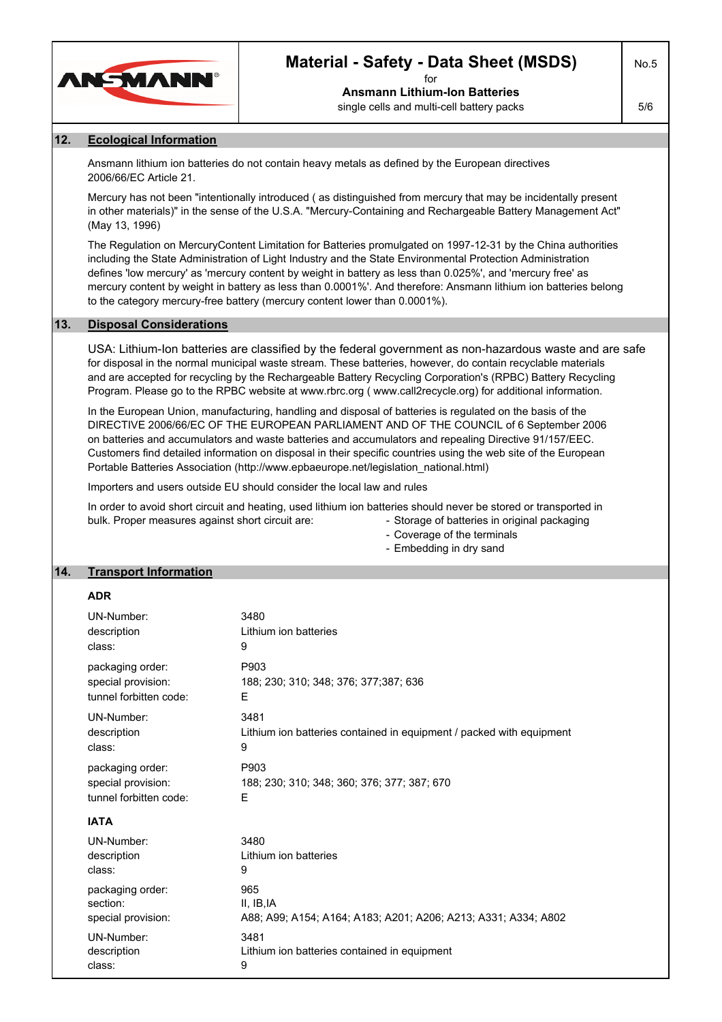

## **Material - Safety - Data Sheet (MSDS)** for

single cells and multi-cell battery packs **Ansmann Lithium-Ion Batteries**

## 5/6

## **12. Ecological Information**

Ansmann lithium ion batteries do not contain heavy metals as defined by the European directives 2006/66/EC Article 21.

Mercury has not been "intentionally introduced ( as distinguished from mercury that may be incidentally present in other materials)" in the sense of the U.S.A. "Mercury-Containing and Rechargeable Battery Management Act" (May 13, 1996)

The Regulation on MercuryContent Limitation for Batteries promulgated on 1997-12-31 by the China authorities including the State Administration of Light Industry and the State Environmental Protection Administration defines 'low mercury' as 'mercury content by weight in battery as less than 0.025%', and 'mercury free' as mercury content by weight in battery as less than 0.0001%'. And therefore: Ansmann lithium ion batteries belong to the category mercury-free battery (mercury content lower than 0.0001%).

## **13. Disposal Considerations**

USA: Lithium-Ion batteries are classified by the federal government as non-hazardous waste and are safe for disposal in the normal municipal waste stream. These batteries, however, do contain recyclable materials and are accepted for recycling by the Rechargeable Battery Recycling Corporation's (RPBC) Battery Recycling Program. Please go to the RPBC website at www.rbrc.org ( www.call2recycle.org) for additional information.

In the European Union, manufacturing, handling and disposal of batteries is regulated on the basis of the DIRECTIVE 2006/66/EC OF THE EUROPEAN PARLIAMENT AND OF THE COUNCIL of 6 September 2006 on batteries and accumulators and waste batteries and accumulators and repealing Directive 91/157/EEC. Customers find detailed information on disposal in their specific countries using the web site of the European Portable Batteries Association (http://www.epbaeurope.net/legislation\_national.html)

Importers and users outside EU should consider the local law and rules

In order to avoid short circuit and heating, used lithium ion batteries should never be stored or transported in

- bulk. Proper measures against short circuit are: - Storage of batteries in original packaging
	- Coverage of the terminals
	- Embedding in dry sand

## **14. Transport Information**

| <b>ADR</b>             |                                                                      |
|------------------------|----------------------------------------------------------------------|
| UN-Number:             | 3480                                                                 |
| description            | I ithium ion batteries                                               |
| class:                 | 9                                                                    |
| packaging order:       | P903                                                                 |
| special provision:     | 188; 230; 310; 348; 376; 377; 387; 636                               |
| tunnel forbitten code: | Е                                                                    |
| UN-Number:             | 3481                                                                 |
| description            | Lithium ion batteries contained in equipment / packed with equipment |
| class:                 | 9                                                                    |
| packaging order:       | P903                                                                 |
| special provision:     | 188; 230; 310; 348; 360; 376; 377; 387; 670                          |
| tunnel forbitten code: | Е                                                                    |
| <b>IATA</b>            |                                                                      |
| UN-Number:             | 3480                                                                 |
| description            | Lithium ion batteries                                                |
| class:                 | 9                                                                    |
| packaging order:       | 965                                                                  |
| section:               | II, IB, IA                                                           |
| special provision:     | A88; A99; A154; A164; A183; A201; A206; A213; A331; A334; A802       |
| UN-Number:             | 3481                                                                 |
| description            | Lithium ion batteries contained in equipment                         |
| class:                 | 9                                                                    |